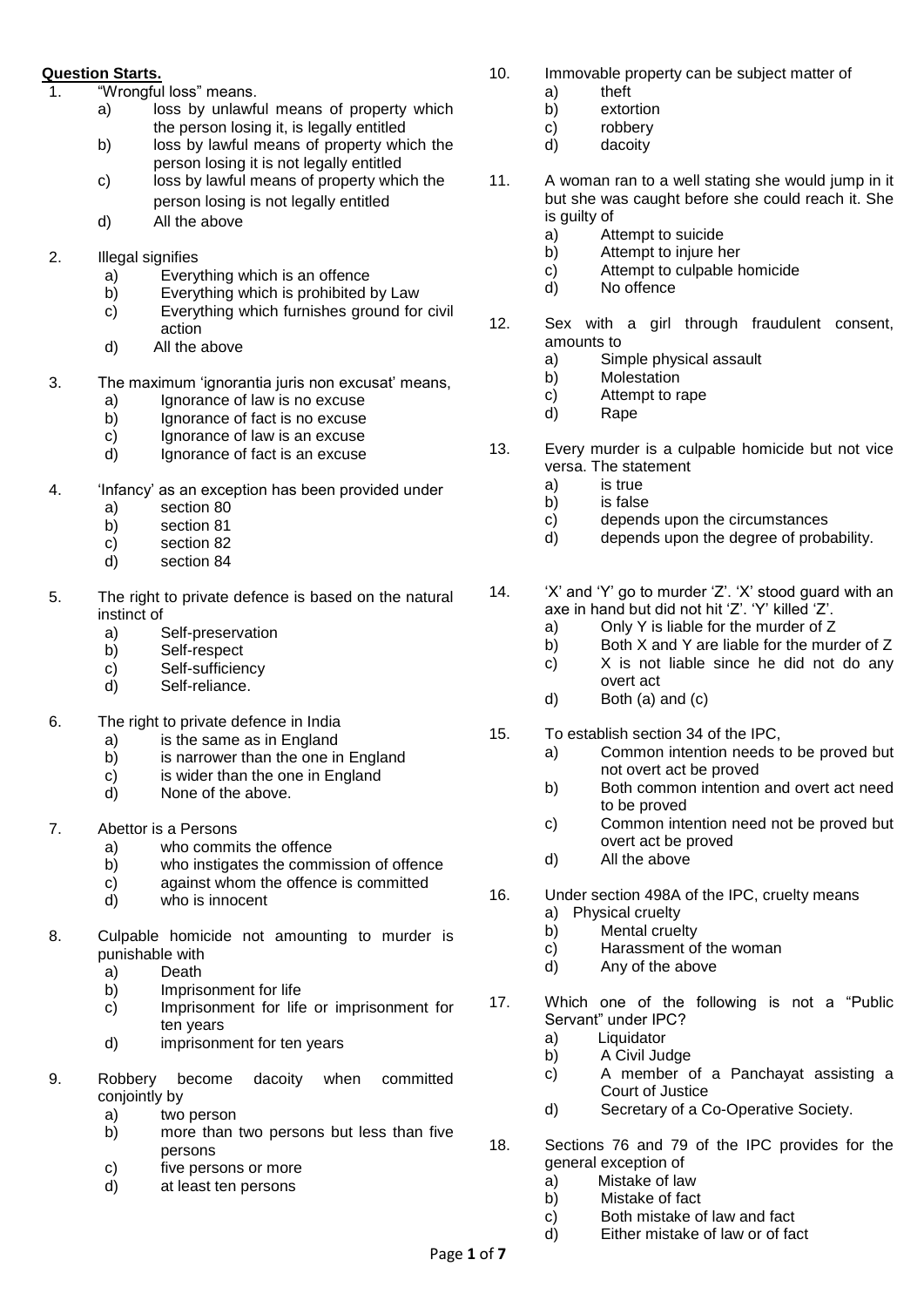# **Question Starts.**

- 1. "Wrongful loss" means.
	- a) loss by unlawful means of property which the person losing it, is legally entitled
	- b) loss by lawful means of property which the person losing it is not legally entitled
	- c) loss by lawful means of property which the person losing is not legally entitled
	- d) All the above
- 2. Illegal signifies
	- a) Everything which is an offence
	- b) Everything which is prohibited by Law
	- c) Everything which furnishes ground for civil action
	- d) All the above
- 3. The maximum 'ignorantia juris non excusat' means,
	- a) Ignorance of law is no excuse
	- b) Ignorance of fact is no excuse
	- c) Ignorance of law is an excuse
	- d) Ignorance of fact is an excuse
- 4. 'Infancy' as an exception has been provided under
	- a) section 80
	- b) section 81
	- c) section 82
	- d) section 84
- 5. The right to private defence is based on the natural instinct of
	- a) Self-preservation
	- b) Self-respect
	- c) Self-sufficiency
	- d) Self-reliance.
- 6. The right to private defence in India
	- a) is the same as in England
	- b) is narrower than the one in England
	- $\overrightarrow{c}$  is wider than the one in England
	- d) None of the above.
- 7. Abettor is a Persons
	- a) who commits the offence
	- b) who instigates the commission of offence
	- c) against whom the offence is committed<br>d) who is innocent
	- who is innocent
- 8. Culpable homicide not amounting to murder is punishable with
	- a) Death
	- b) Imprisonment for life
	- c) Imprisonment for life or imprisonment for ten years
	- d) imprisonment for ten years
- 9. Robbery become dacoity when committed conjointly by
	- a) two person
	- b) more than two persons but less than five persons
	- c) five persons or more
	- d) at least ten persons
- 10. Immovable property can be subject matter of
	- a) theft
	- b) extortion
	- c) robbery
	- d) dacoity
- 11. A woman ran to a well stating she would jump in it but she was caught before she could reach it. She is guilty of
	- a) Attempt to suicide
	- b) Attempt to injure her
	- c) Attempt to culpable homicide
	- d) No offence
- 12. Sex with a girl through fraudulent consent, amounts to
	- a) Simple physical assault
	- b) Molestation
	- c) Attempt to rape
	- d) Rape
- 13. Every murder is a culpable homicide but not vice versa. The statement
	- a) is true
	- b) is false
	- c) depends upon the circumstances
	- d) depends upon the degree of probability.
- 14. 'X' and 'Y' go to murder 'Z'. 'X' stood guard with an axe in hand but did not hit 'Z'. 'Y' killed 'Z'.
	- a) Only Y is liable for the murder of Z
	- b) Both X and Y are liable for the murder of Z
	- c) X is not liable since he did not do any
	- overt act d) Both (a) and (c)
- 15. To establish section 34 of the IPC,
	- a) Common intention needs to be proved but not overt act be proved
	- b) Both common intention and overt act need to be proved
	- c) Common intention need not be proved but overt act be proved
	- d) All the above
- 16. Under section 498A of the IPC, cruelty means
	- a) Physical cruelty
		- b) Mental cruelty
		- c) Harassment of the woman
		- d) Any of the above
- 17. Which one of the following is not a "Public Servant" under IPC?
	- a) Liquidator
	- b) A Civil Judge
	- c) A member of a Panchayat assisting a Court of Justice
	- d) Secretary of a Co-Operative Society.

18. Sections 76 and 79 of the IPC provides for the general exception of

- a) Mistake of law
- b) Mistake of fact
- c) Both mistake of law and fact
- d) Either mistake of law or of fact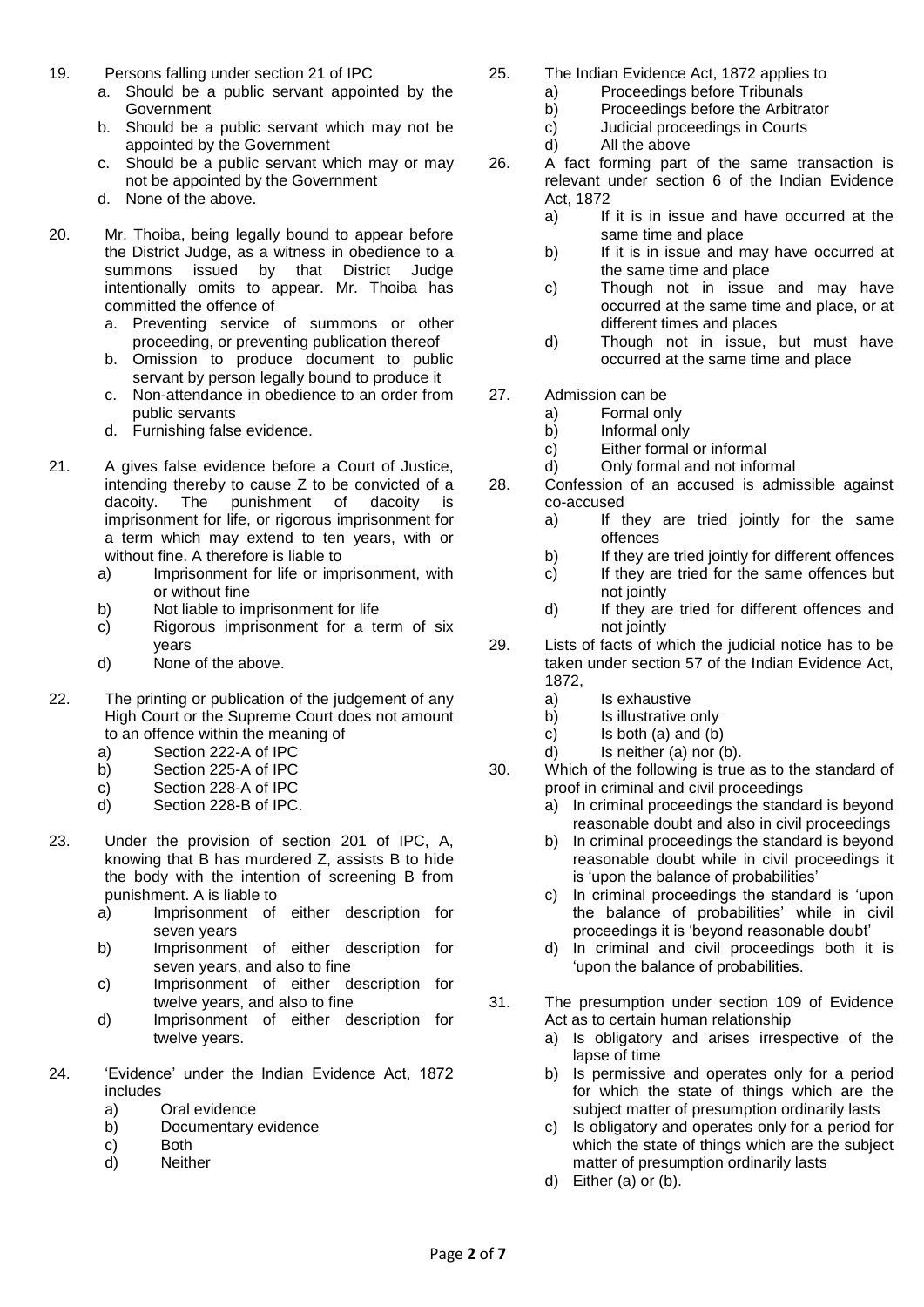- 19. Persons falling under section 21 of IPC
	- a. Should be a public servant appointed by the **Government**
	- b. Should be a public servant which may not be appointed by the Government
	- c. Should be a public servant which may or may not be appointed by the Government
	- d. None of the above.
- 20. Mr. Thoiba, being legally bound to appear before the District Judge, as a witness in obedience to a summons issued by that District Judge intentionally omits to appear. Mr. Thoiba has committed the offence of
	- a. Preventing service of summons or other proceeding, or preventing publication thereof
	- b. Omission to produce document to public servant by person legally bound to produce it
	- c. Non-attendance in obedience to an order from public servants
	- d. Furnishing false evidence.
- 21. A gives false evidence before a Court of Justice, intending thereby to cause Z to be convicted of a dacoity. The punishment of dacoity is imprisonment for life, or rigorous imprisonment for a term which may extend to ten years, with or without fine. A therefore is liable to
	- a) Imprisonment for life or imprisonment, with or without fine
	- b) Not liable to imprisonment for life
	- c) Rigorous imprisonment for a term of six years
	- d) None of the above.
- 22. The printing or publication of the judgement of any High Court or the Supreme Court does not amount to an offence within the meaning of
	- a) Section 222-A of IPC
	- b) Section 225-A of IPC
	- c) Section 228-A of IPC
	- d) Section 228-B of IPC.
- 23. Under the provision of section 201 of IPC, A, knowing that B has murdered Z, assists B to hide the body with the intention of screening B from punishment. A is liable to
	- a) Imprisonment of either description for seven years
	- b) Imprisonment of either description for seven years, and also to fine
	- c) Imprisonment of either description for twelve years, and also to fine
	- d) Imprisonment of either description for twelve years.
- 24. 'Evidence' under the Indian Evidence Act, 1872 includes
	- a) Oral evidence
	- b) Documentary evidence
	- c) Both
	- d) Neither
- 25. The Indian Evidence Act, 1872 applies to
	- a) Proceedings before Tribunals
	- b) Proceedings before the Arbitrator
	- c) Judicial proceedings in Courts
	- d) All the above
- 26. A fact forming part of the same transaction is relevant under section 6 of the Indian Evidence Act, 1872
	- a) If it is in issue and have occurred at the same time and place
	- b) If it is in issue and may have occurred at the same time and place
	- c) Though not in issue and may have occurred at the same time and place, or at different times and places
	- d) Though not in issue, but must have occurred at the same time and place
- 27. Admission can be
	- a) Formal only
	- b) Informal only
	- c) Either formal or informal
	- d) Only formal and not informal
- 28. Confession of an accused is admissible against co-accused
	- a) If they are tried jointly for the same offences
	- b) If they are tried jointly for different offences
	- c) If they are tried for the same offences but not jointly
	- d) If they are tried for different offences and not jointly
- 29. Lists of facts of which the judicial notice has to be taken under section 57 of the Indian Evidence Act, 1872,
	- a) Is exhaustive
	- b) Is illustrative only
	- c) Is both (a) and (b)
	- d) Is neither (a) nor (b).
- 30. Which of the following is true as to the standard of proof in criminal and civil proceedings
	- a) In criminal proceedings the standard is beyond reasonable doubt and also in civil proceedings
	- b) In criminal proceedings the standard is beyond reasonable doubt while in civil proceedings it is 'upon the balance of probabilities'
	- c) In criminal proceedings the standard is 'upon the balance of probabilities' while in civil proceedings it is 'beyond reasonable doubt'
	- d) In criminal and civil proceedings both it is 'upon the balance of probabilities.
- 31. The presumption under section 109 of Evidence Act as to certain human relationship
	- a) Is obligatory and arises irrespective of the lapse of time
	- b) Is permissive and operates only for a period for which the state of things which are the subject matter of presumption ordinarily lasts
	- c) Is obligatory and operates only for a period for which the state of things which are the subject matter of presumption ordinarily lasts
	- d) Either (a) or (b).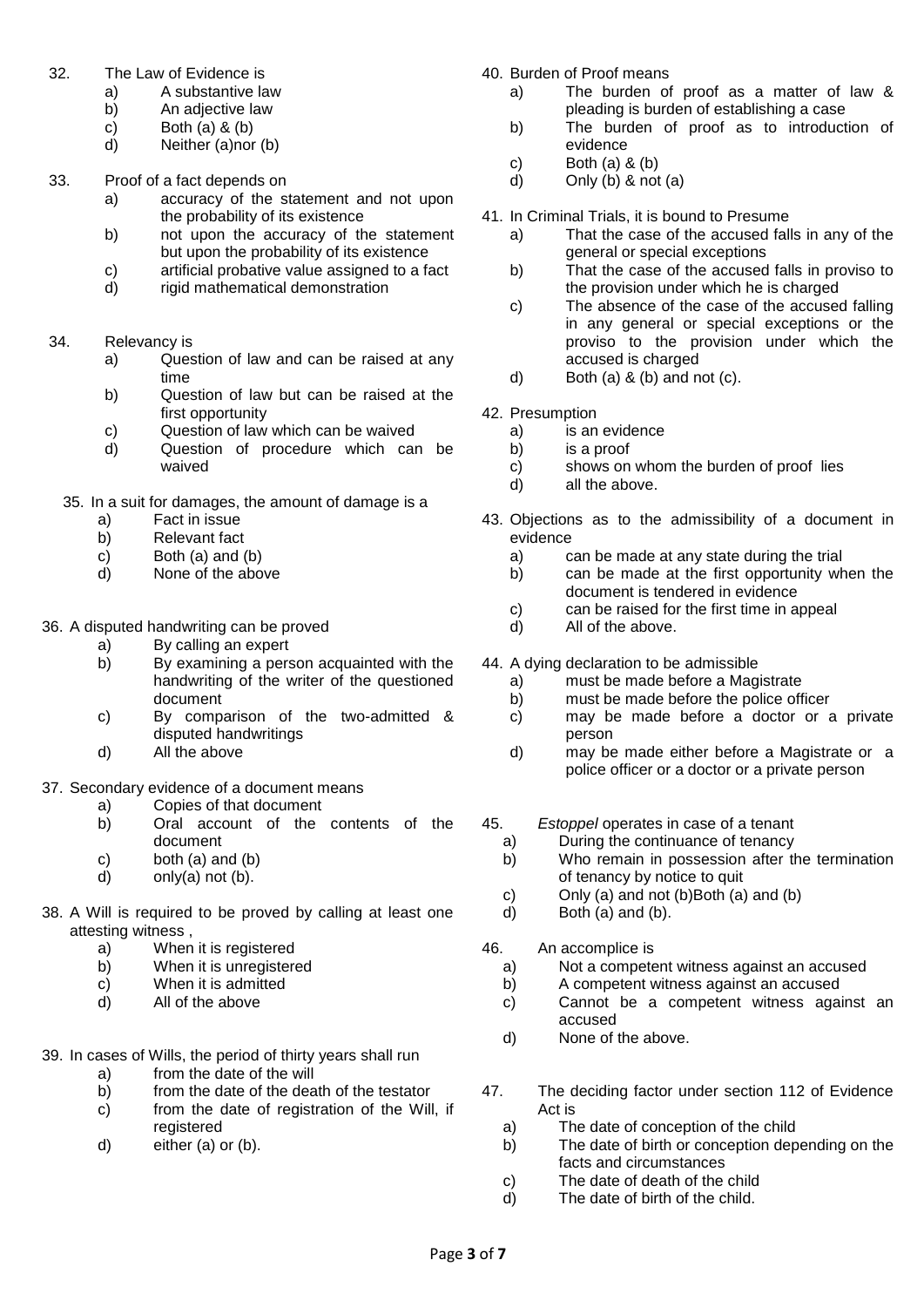- 32. The Law of Evidence is
	- a) A substantive law
	- b) An adjective law
	- c) Both  $(a)$  &  $(b)$
	- d) Neither (a)nor (b)
- 33. Proof of a fact depends on
	- a) accuracy of the statement and not upon the probability of its existence
	- b) not upon the accuracy of the statement but upon the probability of its existence
	- c) artificial probative value assigned to a fact
	- d) rigid mathematical demonstration
- 34. Relevancy is
	- a) Question of law and can be raised at any time
	- b) Question of law but can be raised at the first opportunity
	- c) Question of law which can be waived
	- d) Question of procedure which can be waived
	- 35. In a suit for damages, the amount of damage is a
		- a) Fact in issue<br>b) Relevant fact
		- b) Relevant fact
		- c) Both (a) and (b)
		- d) None of the above

#### 36. A disputed handwriting can be proved

- a) By calling an expert
- b) By examining a person acquainted with the handwriting of the writer of the questioned document
- c) By comparison of the two-admitted & disputed handwritings
- d) All the above

# 37. Secondary evidence of a document means

- a) Copies of that document
- b) Oral account of the contents of the document
- c) both (a) and (b)
- d) only(a) not (b).
- 38. A Will is required to be proved by calling at least one attesting witness ,
	- a) When it is registered
	- b) When it is unregistered
	- c) When it is admitted
	- d) All of the above

#### 39. In cases of Wills, the period of thirty years shall run

- a) from the date of the will
- b) from the date of the death of the testator
- c) from the date of registration of the Will, if registered
- d) either (a) or (b).
- 40. Burden of Proof means
	- a) The burden of proof as a matter of law & pleading is burden of establishing a case
	- b) The burden of proof as to introduction of evidence
	- c) Both (a) & (b)
	- d) Only  $(b)$  & not  $(a)$
- 41. In Criminal Trials, it is bound to Presume
	- a) That the case of the accused falls in any of the general or special exceptions
	- b) That the case of the accused falls in proviso to the provision under which he is charged
	- c) The absence of the case of the accused falling in any general or special exceptions or the proviso to the provision under which the accused is charged
	- d) Both (a)  $\&$  (b) and not (c).
- 42. Presumption
	- a) is an evidence
	- b) is a proof
	- c) shows on whom the burden of proof lies
	- d) all the above.
- 43. Objections as to the admissibility of a document in evidence
	- a) can be made at any state during the trial
	- b) can be made at the first opportunity when the document is tendered in evidence
	- c) can be raised for the first time in appeal
	- d) All of the above.
- 44. A dying declaration to be admissible
	- a) must be made before a Magistrate
	- b) must be made before the police officer
	- c) may be made before a doctor or a private person
	- d) may be made either before a Magistrate or a police officer or a doctor or a private person
- 45. *Estoppel* operates in case of a tenant
	- a) During the continuance of tenancy
	- b) Who remain in possession after the termination of tenancy by notice to quit
	- c) Only (a) and not (b)Both (a) and (b)
	- d) Both (a) and (b).
- 46. An accomplice is
	- a) Not a competent witness against an accused
	- b) A competent witness against an accused
	- c) Cannot be a competent witness against an accused
	- d) None of the above.
- 47. The deciding factor under section 112 of Evidence Act is
	- a) The date of conception of the child
	- b) The date of birth or conception depending on the facts and circumstances
	- c) The date of death of the child
	- d) The date of birth of the child.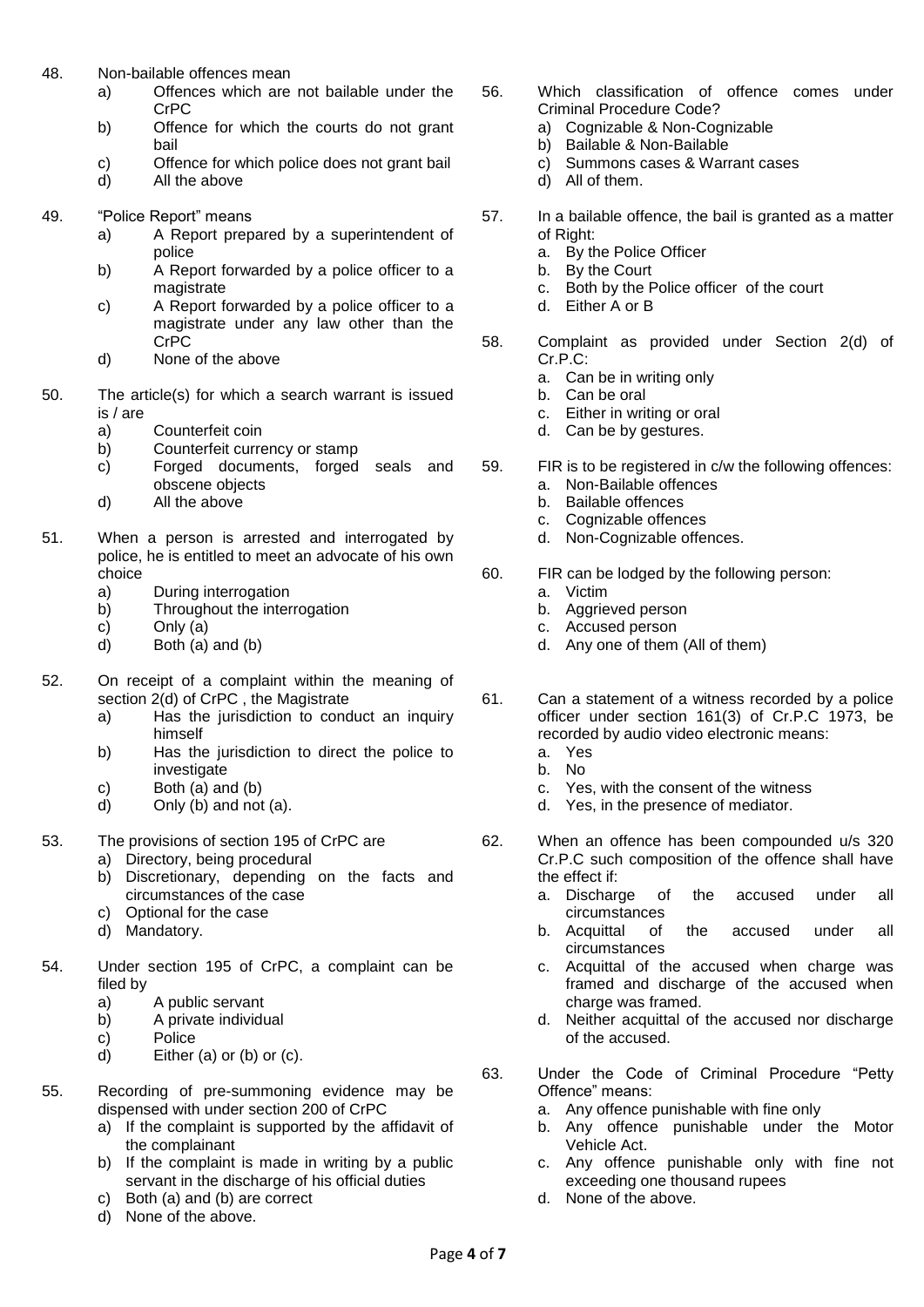- 48. Non-bailable offences mean
	- a) Offences which are not bailable under the CrPC
	- b) Offence for which the courts do not grant bail
	- c) Offence for which police does not grant bail
	- d) All the above
- 49. "Police Report" means
	- a) A Report prepared by a superintendent of police
	- b) A Report forwarded by a police officer to a magistrate
	- c) A Report forwarded by a police officer to a magistrate under any law other than the CrPC
	- d) None of the above
- 50. The article(s) for which a search warrant is issued is / are
	- a) Counterfeit coin
	- b) Counterfeit currency or stamp
	- c) Forged documents, forged seals and obscene objects
	- d) All the above
- 51. When a person is arrested and interrogated by police, he is entitled to meet an advocate of his own choice
	- a) During interrogation
	- b) Throughout the interrogation
	- c) Only (a)
	- d) Both (a) and (b)
- 52. On receipt of a complaint within the meaning of section 2(d) of CrPC , the Magistrate
	- a) Has the jurisdiction to conduct an inquiry himself
	- b) Has the jurisdiction to direct the police to investigate
	- c) Both (a) and (b)
	- d) Only (b) and not (a).
- 53. The provisions of section 195 of CrPC are
	- a) Directory, being procedural
	- b) Discretionary, depending on the facts and circumstances of the case
	- c) Optional for the case
	- d) Mandatory.
- 54. Under section 195 of CrPC, a complaint can be filed by
	- a) A public servant
	- b) A private individual
	- c) Police
	- d) Either (a) or (b) or (c).
- 55. Recording of pre-summoning evidence may be dispensed with under section 200 of CrPC
	- a) If the complaint is supported by the affidavit of the complainant
	- b) If the complaint is made in writing by a public servant in the discharge of his official duties
	- c) Both (a) and (b) are correct
	- d) None of the above.
- 56. Which classification of offence comes under Criminal Procedure Code?
	- a) Cognizable & Non-Cognizable
	- b) Bailable & Non-Bailable
	- c) Summons cases & Warrant cases
	- d) All of them.
- 57. In a bailable offence, the bail is granted as a matter of Right:
	- a. By the Police Officer
	- b. By the Court
	- c. Both by the Police officer of the court
	- d. Either A or B
- 58. Complaint as provided under Section 2(d) of Cr.P.C:
	- a. Can be in writing only
	- b. Can be oral
	- c. Either in writing or oral
	- d. Can be by gestures.
- 59. FIR is to be registered in c/w the following offences: a. Non-Bailable offences
	- b. Bailable offences
	- c. Cognizable offences
	- d. Non-Cognizable offences.
- 60. FIR can be lodged by the following person:
	- a. Victim
	- b. Aggrieved person
	- c. Accused person
	- d. Any one of them (All of them)
- 61. Can a statement of a witness recorded by a police officer under section 161(3) of Cr.P.C 1973, be recorded by audio video electronic means:
	- a. Yes
	- b. No
	- c. Yes, with the consent of the witness
	- d. Yes, in the presence of mediator.
- 62. When an offence has been compounded u/s 320 Cr.P.C such composition of the offence shall have the effect if:
	- a. Discharge of the accused under all circumstances
	- b. Acquittal of the accused under all circumstances
	- c. Acquittal of the accused when charge was framed and discharge of the accused when charge was framed.
	- d. Neither acquittal of the accused nor discharge of the accused.
- 63. Under the Code of Criminal Procedure "Petty Offence" means:
	- a. Any offence punishable with fine only
	- b. Any offence punishable under the Motor Vehicle Act.
	- c. Any offence punishable only with fine not exceeding one thousand rupees
	- d. None of the above.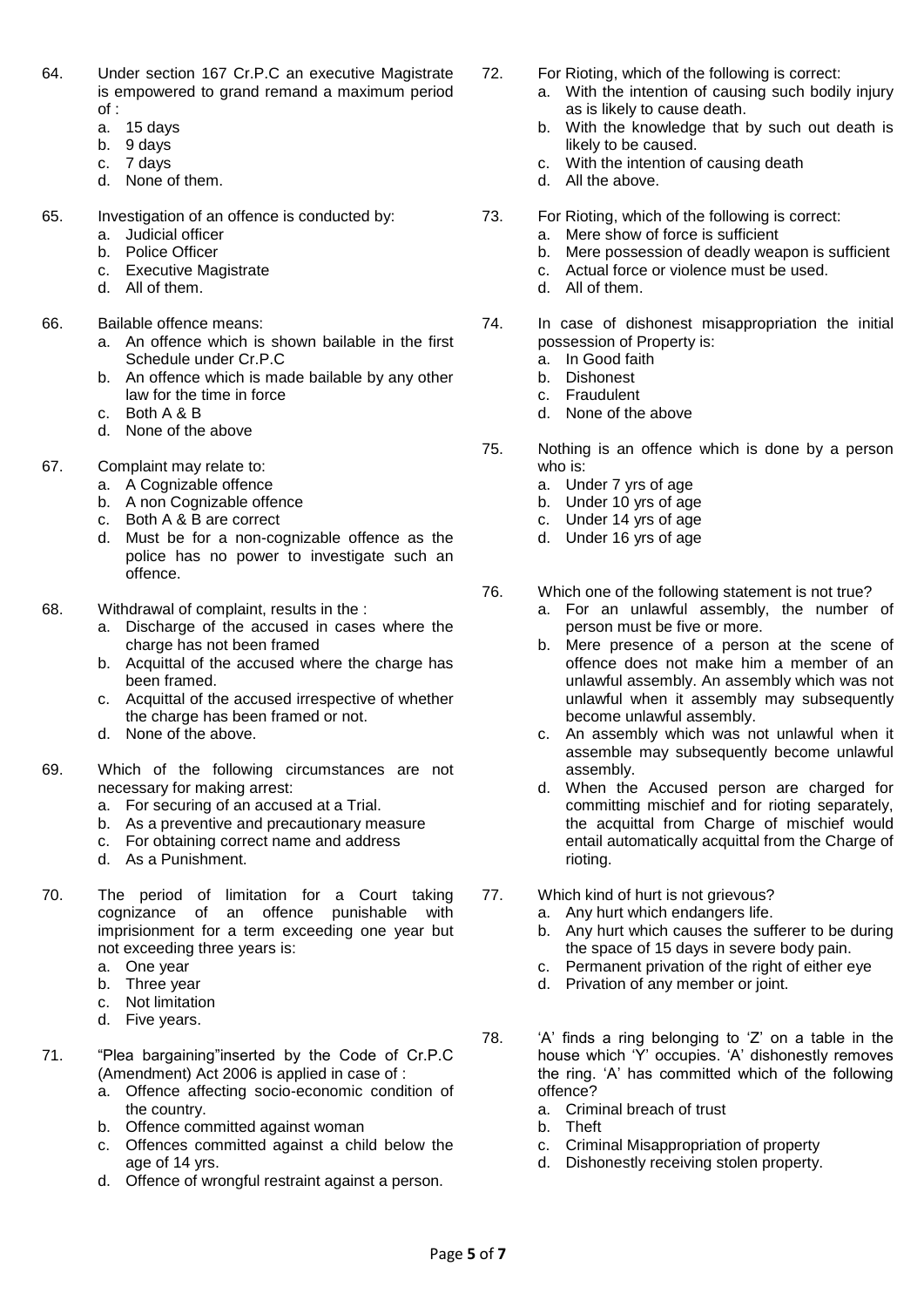- 64. Under section 167 Cr.P.C an executive Magistrate is empowered to grand remand a maximum period of :
	- a. 15 days
	- b. 9 days
	- c. 7 days
	- d. None of them.
- 65. Investigation of an offence is conducted by:
	- a. Judicial officer
	- b. Police Officer
	- c. Executive Magistrate
	- d. All of them.
- 66. Bailable offence means:
	- a. An offence which is shown bailable in the first Schedule under Cr.P.C
	- b. An offence which is made bailable by any other law for the time in force
	- c. Both A & B
	- d. None of the above
- 67. Complaint may relate to:
	- a. A Cognizable offence
	- b. A non Cognizable offence
	- c. Both A & B are correct
	- d. Must be for a non-cognizable offence as the police has no power to investigate such an offence.
- 68. Withdrawal of complaint, results in the :
	- a. Discharge of the accused in cases where the charge has not been framed
	- b. Acquittal of the accused where the charge has been framed.
	- c. Acquittal of the accused irrespective of whether the charge has been framed or not.
	- d. None of the above.
- 69. Which of the following circumstances are not necessary for making arrest:
	- a. For securing of an accused at a Trial.
	- b. As a preventive and precautionary measure
	- c. For obtaining correct name and address
	- d. As a Punishment.
- 70. The period of limitation for a Court taking cognizance of an offence punishable with imprisionment for a term exceeding one year but not exceeding three years is:
	- a. One year<br>b. Three yea
	- b. Three year
	- c. Not limitation
	- d. Five years.
- 71. "Plea bargaining"inserted by the Code of Cr.P.C (Amendment) Act 2006 is applied in case of :
	- a. Offence affecting socio-economic condition of the country.
	- b. Offence committed against woman
	- c. Offences committed against a child below the age of 14 yrs.
	- d. Offence of wrongful restraint against a person.
- 72. For Rioting, which of the following is correct:
	- a. With the intention of causing such bodily injury as is likely to cause death.
	- b. With the knowledge that by such out death is likely to be caused.
	- c. With the intention of causing death
	- d. All the above.
- 73. For Rioting, which of the following is correct:
	- a. Mere show of force is sufficient
		- b. Mere possession of deadly weapon is sufficient
		- c. Actual force or violence must be used.
		- d. All of them.
- 74. In case of dishonest misappropriation the initial possession of Property is:
	- a. In Good faith
	- b. Dishonest
	- c. Fraudulent
	- d. None of the above
- 75. Nothing is an offence which is done by a person who is:
	- a. Under 7 yrs of age
	- b. Under 10 yrs of age
	- c. Under 14 yrs of age
	- d. Under 16 yrs of age
- 76. Which one of the following statement is not true?
	- a. For an unlawful assembly, the number of person must be five or more.
	- b. Mere presence of a person at the scene of offence does not make him a member of an unlawful assembly. An assembly which was not unlawful when it assembly may subsequently become unlawful assembly.
	- c. An assembly which was not unlawful when it assemble may subsequently become unlawful assembly.
	- d. When the Accused person are charged for committing mischief and for rioting separately, the acquittal from Charge of mischief would entail automatically acquittal from the Charge of rioting.
- 77. Which kind of hurt is not grievous?
	- a. Any hurt which endangers life.
	- b. Any hurt which causes the sufferer to be during the space of 15 days in severe body pain.
	- c. Permanent privation of the right of either eye
	- d. Privation of any member or joint.
- 78. 'A' finds a ring belonging to 'Z' on a table in the house which 'Y' occupies. 'A' dishonestly removes the ring. 'A' has committed which of the following offence?
	- a. Criminal breach of trust
	- b. Theft
	- c. Criminal Misappropriation of property
	- d. Dishonestly receiving stolen property.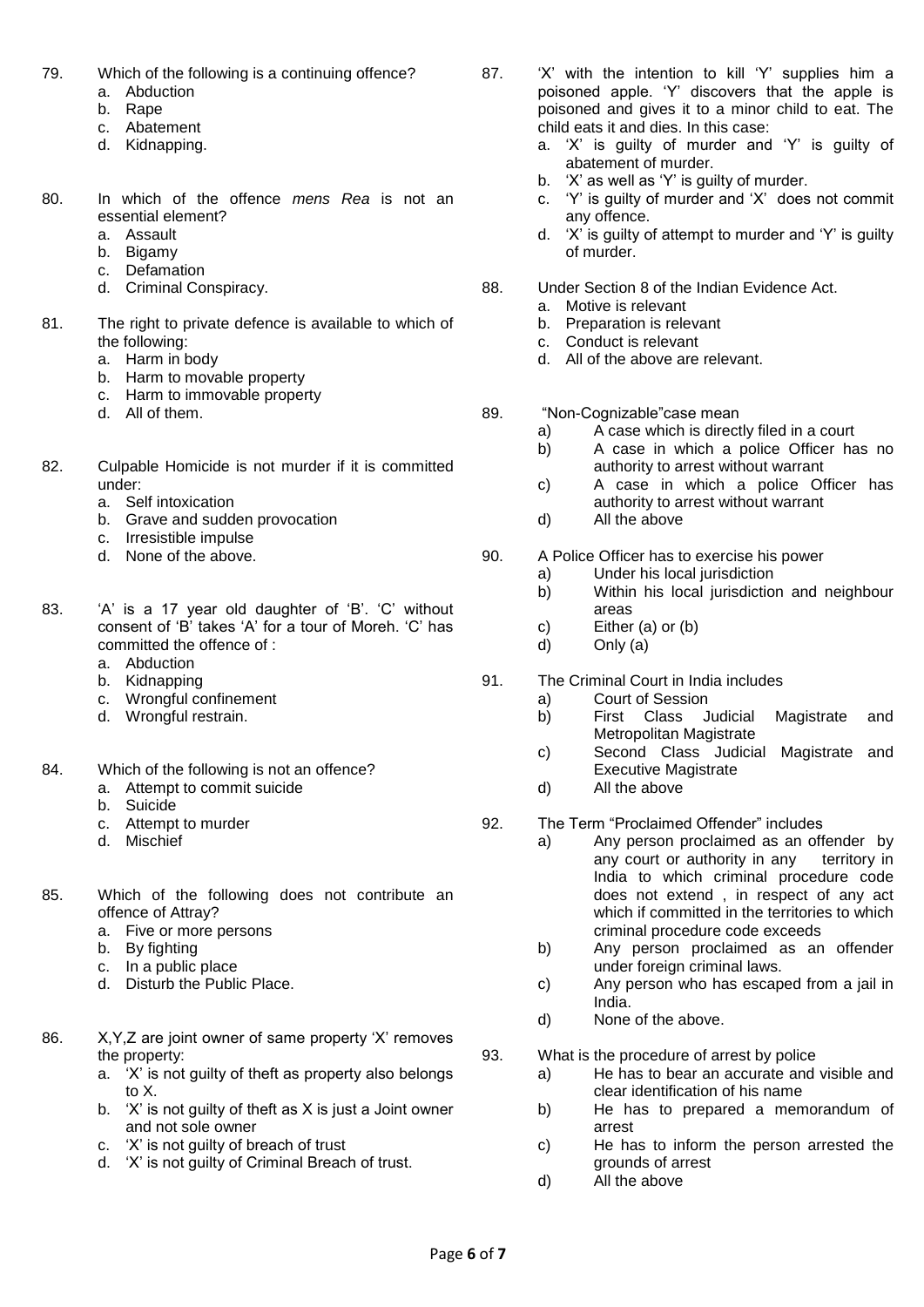- 79. Which of the following is a continuing offence?
	- a. Abduction
	- b. Rape
	- c. Abatement
	- d. Kidnapping.
- 80. In which of the offence *mens Rea* is not an essential element?
	- a. Assault
	- b. Bigamy
	- c. Defamation
	- d. Criminal Conspiracy.
- 81. The right to private defence is available to which of the following:
	- a. Harm in body
	- b. Harm to movable property
	- c. Harm to immovable property
	- d. All of them.
- 82. Culpable Homicide is not murder if it is committed under:
	- a. Self intoxication
	- b. Grave and sudden provocation
	- c. Irresistible impulse
	- d. None of the above.
- 83. 'A' is a 17 year old daughter of 'B'. 'C' without consent of 'B' takes 'A' for a tour of Moreh. 'C' has committed the offence of :
	- a. Abduction
	- b. Kidnapping
	- c. Wrongful confinement
	- d. Wrongful restrain.
- 84. Which of the following is not an offence?
	- a. Attempt to commit suicide
	- b. Suicide
	- c. Attempt to murder
	- d. Mischief
- 85. Which of the following does not contribute an offence of Attray?
	- a. Five or more persons
	- b. By fighting
	- c. In a public place
	- d. Disturb the Public Place.
- 86. X,Y,Z are joint owner of same property 'X' removes the property:
	- a. 'X' is not guilty of theft as property also belongs to X.
		- b. 'X' is not guilty of theft as X is just a Joint owner and not sole owner
		- c. 'X' is not guilty of breach of trust
		- d. 'X' is not guilty of Criminal Breach of trust.
- 87. 'X' with the intention to kill 'Y' supplies him a poisoned apple. 'Y' discovers that the apple is poisoned and gives it to a minor child to eat. The child eats it and dies. In this case:
	- a. 'X' is guilty of murder and 'Y' is guilty of abatement of murder.
	- b. 'X' as well as 'Y' is guilty of murder.
	- c. 'Y' is guilty of murder and 'X' does not commit any offence.
	- d. 'X' is guilty of attempt to murder and 'Y' is guilty of murder.
- 88. Under Section 8 of the Indian Evidence Act.
	- a. Motive is relevant
	- b. Preparation is relevant<br>c. Conduct is relevant
	- Conduct is relevant
	- d. All of the above are relevant.
- 89. "Non-Cognizable" case mean
	- a) A case which is directly filed in a court
	- b) A case in which a police Officer has no authority to arrest without warrant
	- c) A case in which a police Officer has authority to arrest without warrant
	- d) All the above
- 90. A Police Officer has to exercise his power
	- a) Under his local jurisdiction
	- b) Within his local jurisdiction and neighbour areas
	- c) Either (a) or (b)
	- d) Only (a)
- 91. The Criminal Court in India includes
	- a) Court of Session
	- b) First Class Judicial Magistrate and Metropolitan Magistrate
	- c) Second Class Judicial Magistrate and Executive Magistrate
	- d) All the above
- 92. The Term "Proclaimed Offender" includes
	- a) Any person proclaimed as an offender by any court or authority in any territory in India to which criminal procedure code does not extend , in respect of any act which if committed in the territories to which criminal procedure code exceeds
	- b) Any person proclaimed as an offender under foreign criminal laws.
	- c) Any person who has escaped from a jail in India.
	- d) None of the above.
- 93. What is the procedure of arrest by police
	- a) He has to bear an accurate and visible and clear identification of his name
	- b) He has to prepared a memorandum of arrest
	- c) He has to inform the person arrested the grounds of arrest
	- d) All the above